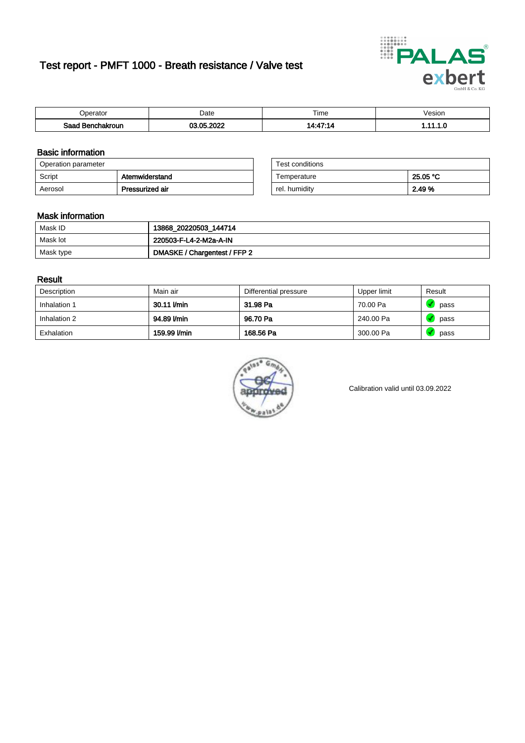# Test report - PMFT 1000 - Breath resistance / Valve test



| `nerator                        | Date      | $- \cdot$<br>Time | /esion |
|---------------------------------|-----------|-------------------|--------|
| Saad<br><b>ìchakroun</b><br>. . | റററ<br>ΛE | $A - A^T$<br>7.14 | .      |

### Basic information

| Operation parameter |                 | Test conditions |          |
|---------------------|-----------------|-----------------|----------|
| Script              | Atemwiderstand  | Temperature     | 25.05 °C |
| Aerosol             | Pressurized air | rel. humidity   | 2.49 %   |

| Test conditions |          |
|-----------------|----------|
| Temperature     | 25.05 °C |
| rel. humidity   | 2.49%    |

### Mask information

| Mask ID   | 13868_20220503_144714        |
|-----------|------------------------------|
| Mask lot  | 220503-F-L4-2-M2a-A-IN       |
| Mask type | DMASKE / Chargentest / FFP 2 |

### Result

| Description  | Main air     | Differential pressure | Upper limit | Result |
|--------------|--------------|-----------------------|-------------|--------|
| Inhalation 1 | 30.11 l/min  | 31.98 Pa              | 70.00 Pa    | pass   |
| Inhalation 2 | 94.89 l/min  | 96.70 Pa              | 240.00 Pa   | pass   |
| Exhalation   | 159.99 l/min | 168.56 Pa             | 300.00 Pa   | pass   |



Calibration valid until 03.09.2022